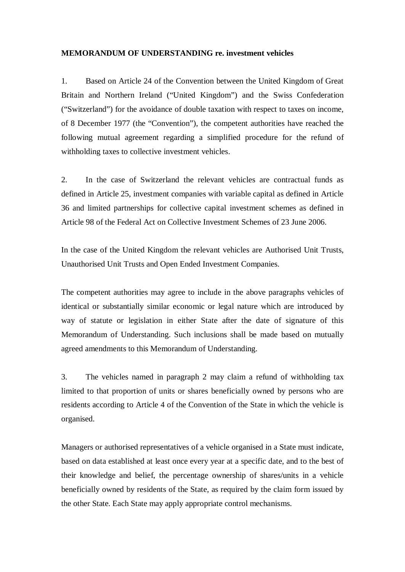## **MEMORANDUM OF UNDERSTANDING re. investment vehicles**

1. Based on Article 24 of the Convention between the United Kingdom of Great Britain and Northern Ireland ("United Kingdom") and the Swiss Confederation ("Switzerland") for the avoidance of double taxation with respect to taxes on income, of 8 December 1977 (the "Convention"), the competent authorities have reached the following mutual agreement regarding a simplified procedure for the refund of withholding taxes to collective investment vehicles.

2. In the case of Switzerland the relevant vehicles are contractual funds as defined in Article 25, investment companies with variable capital as defined in Article 36 and limited partnerships for collective capital investment schemes as defined in Article 98 of the Federal Act on Collective Investment Schemes of 23 June 2006.

In the case of the United Kingdom the relevant vehicles are Authorised Unit Trusts, Unauthorised Unit Trusts and Open Ended Investment Companies.

The competent authorities may agree to include in the above paragraphs vehicles of identical or substantially similar economic or legal nature which are introduced by way of statute or legislation in either State after the date of signature of this Memorandum of Understanding. Such inclusions shall be made based on mutually agreed amendments to this Memorandum of Understanding.

3. The vehicles named in paragraph 2 may claim a refund of withholding tax limited to that proportion of units or shares beneficially owned by persons who are residents according to Article 4 of the Convention of the State in which the vehicle is organised.

Managers or authorised representatives of a vehicle organised in a State must indicate, based on data established at least once every year at a specific date, and to the best of their knowledge and belief, the percentage ownership of shares/units in a vehicle beneficially owned by residents of the State, as required by the claim form issued by the other State. Each State may apply appropriate control mechanisms.